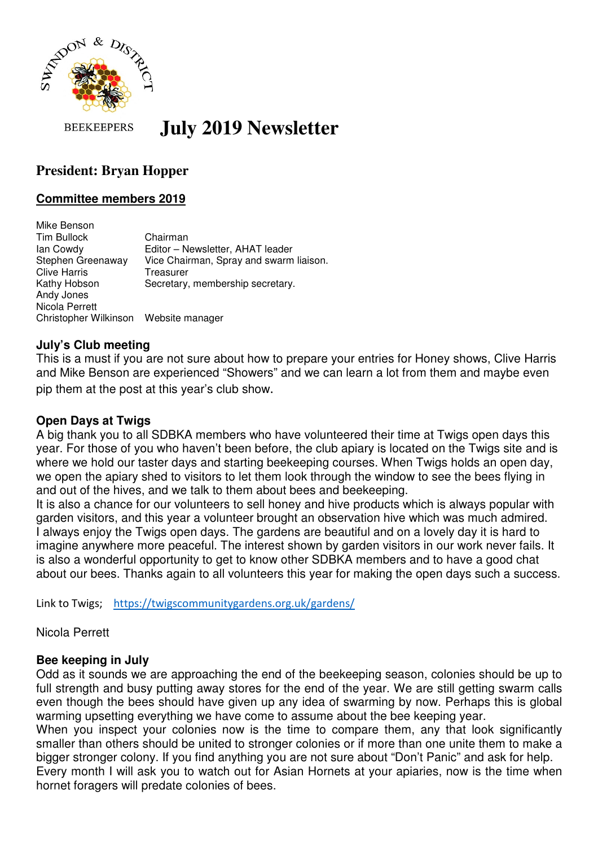

**BEEKEEPERS** 

# **July 2019 Newsletter**

# **President: Bryan Hopper**

## **Committee members 2019**

Mike Benson Tim Bullock Chairman Ian Cowdy Editor – Newsletter, AHAT leader Stephen Greenaway Vice Chairman, Spray and swarm liaison. Clive Harris Treasurer Kathy Hobson Secretary, membership secretary. Andy Jones Nicola Perrett Christopher Wilkinson Website manager

#### **July's Club meeting**

This is a must if you are not sure about how to prepare your entries for Honey shows, Clive Harris and Mike Benson are experienced "Showers" and we can learn a lot from them and maybe even pip them at the post at this year's club show.

### **Open Days at Twigs**

A big thank you to all SDBKA members who have volunteered their time at Twigs open days this year. For those of you who haven't been before, the club apiary is located on the Twigs site and is where we hold our taster days and starting beekeeping courses. When Twigs holds an open day, we open the apiary shed to visitors to let them look through the window to see the bees flying in and out of the hives, and we talk to them about bees and beekeeping.

It is also a chance for our volunteers to sell honey and hive products which is always popular with garden visitors, and this year a volunteer brought an observation hive which was much admired. I always enjoy the Twigs open days. The gardens are beautiful and on a lovely day it is hard to imagine anywhere more peaceful. The interest shown by garden visitors in our work never fails. It is also a wonderful opportunity to get to know other SDBKA members and to have a good chat about our bees. Thanks again to all volunteers this year for making the open days such a success.

Link to Twigs; https://twigscommunitygardens.org.uk/gardens/

Nicola Perrett

#### **Bee keeping in July**

Odd as it sounds we are approaching the end of the beekeeping season, colonies should be up to full strength and busy putting away stores for the end of the year. We are still getting swarm calls even though the bees should have given up any idea of swarming by now. Perhaps this is global warming upsetting everything we have come to assume about the bee keeping year.

When you inspect your colonies now is the time to compare them, any that look significantly smaller than others should be united to stronger colonies or if more than one unite them to make a bigger stronger colony. If you find anything you are not sure about "Don't Panic" and ask for help. Every month I will ask you to watch out for Asian Hornets at your apiaries, now is the time when hornet foragers will predate colonies of bees.